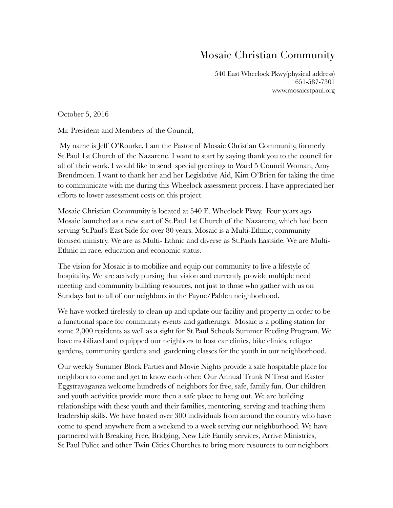## Mosaic Christian Community

540 East Wheelock Pkwy(physical address) 651-587-7301 www.mosaicstpaul.org

October 5, 2016

Mr. President and Members of the Council,

 My name is Jeff O'Rourke, I am the Pastor of Mosaic Christian Community, formerly St.Paul 1st Church of the Nazarene. I want to start by saying thank you to the council for all of their work. I would like to send special greetings to Ward 5 Council Woman, Amy Brendmoen. I want to thank her and her Legislative Aid, Kim O'Brien for taking the time to communicate with me during this Wheelock assessment process. I have appreciated her efforts to lower assessment costs on this project.

Mosaic Christian Community is located at 540 E. Wheelock Pkwy. Four years ago Mosaic launched as a new start of St.Paul 1st Church of the Nazarene, which had been serving St.Paul's East Side for over 80 years. Mosaic is a Multi-Ethnic, community focused ministry. We are as Multi- Ethnic and diverse as St.Pauls Eastside. We are Multi-Ethnic in race, education and economic status.

The vision for Mosaic is to mobilize and equip our community to live a lifestyle of hospitality. We are actively pursing that vision and currently provide multiple need meeting and community building resources, not just to those who gather with us on Sundays but to all of our neighbors in the Payne/Pahlen neighborhood.

We have worked tirelessly to clean up and update our facility and property in order to be a functional space for community events and gatherings. Mosaic is a polling station for some 2,000 residents as well as a sight for St.Paul Schools Summer Feeding Program. We have mobilized and equipped our neighbors to host car clinics, bike clinics, refugee gardens, community gardens and gardening classes for the youth in our neighborhood.

Our weekly Summer Block Parties and Movie Nights provide a safe hospitable place for neighbors to come and get to know each other. Our Annual Trunk N Treat and Easter Eggstravaganza welcome hundreds of neighbors for free, safe, family fun. Our children and youth activities provide more then a safe place to hang out. We are building relationships with these youth and their families, mentoring, serving and teaching them leadership skills. We have hosted over 300 individuals from around the country who have come to spend anywhere from a weekend to a week serving our neighborhood. We have partnered with Breaking Free, Bridging, New Life Family services, Arrive Ministries, St.Paul Police and other Twin Cities Churches to bring more resources to our neighbors.